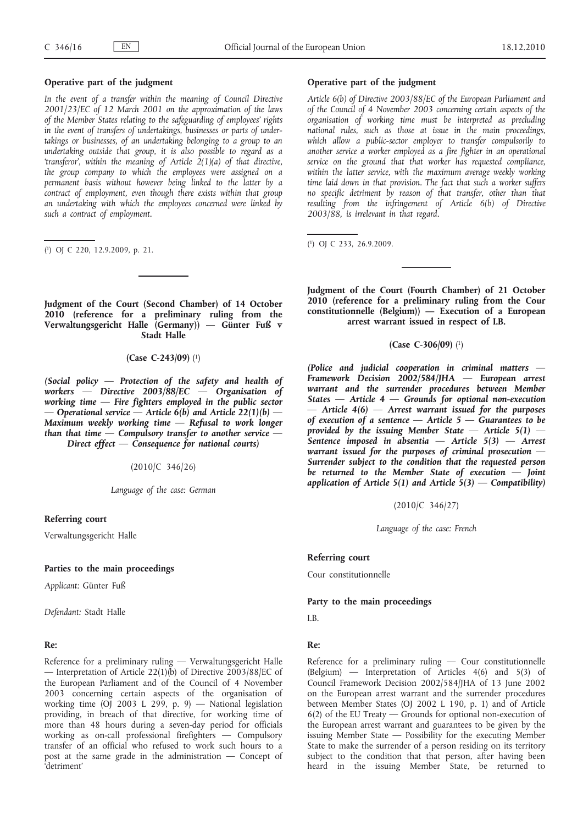# **Operative part of the judgment**

In the event of a transfer within the meaning of Council Directive *2001/23/EC of 12 March 2001 on the approximation of the laws of the Member States relating to the safeguarding of employees' rights in the event of transfers of undertakings, businesses or parts of undertakings or businesses, of an undertaking belonging to a group to an undertaking outside that group, it is also possible to regard as a 'transferor', within the meaning of Article 2(1)(a) of that directive, the group company to which the employees were assigned on a permanent basis without however being linked to the latter by a contract of employment, even though there exists within that group an undertaking with which the employees concerned were linked by such a contract of employment.*

( 1) OJ C 220, 12.9.2009, p. 21.

**Judgment of the Court (Second Chamber) of 14 October 2010 (reference for a preliminary ruling from the Verwaltungsgericht Halle (Germany)) — Günter Fuß v Stadt Halle**

**(Case C-243/09)** (1)

*(Social policy — Protection of the safety and health of workers — Directive 2003/88/EC — Organisation of working time — Fire fighters employed in the public sector*   $-$  Operational service  $-$  Article 6(b) and Article 22(1)(b)  $-$ *Maximum weekly working time — Refusal to work longer than that time — Compulsory transfer to another service — Direct effect — Consequence for national courts)*

(2010/C 346/26)

*Language of the case: German*

## **Referring court**

Verwaltungsgericht Halle

#### **Parties to the main proceedings**

*Applicant:* Günter Fuß

*Defendant:* Stadt Halle

# **Re:**

Reference for a preliminary ruling — Verwaltungsgericht Halle — Interpretation of Article 22(1)(b) of Directive 2003/88/EC of the European Parliament and of the Council of 4 November 2003 concerning certain aspects of the organisation of working time (OJ 2003 L 299, p. 9) — National legislation providing, in breach of that directive, for working time of more than 48 hours during a seven-day period for officials working as on-call professional firefighters — Compulsory transfer of an official who refused to work such hours to a post at the same grade in the administration — Concept of 'detriment'

# **Operative part of the judgment**

*Article 6(b) of Directive 2003/88/EC of the European Parliament and of the Council of 4 November 2003 concerning certain aspects of the organisation of working time must be interpreted as precluding national rules, such as those at issue in the main proceedings, which allow a public-sector employer to transfer compulsorily to another service a worker employed as a fire fighter in an operational service on the ground that that worker has requested compliance, within the latter service, with the maximum average weekly working time laid down in that provision. The fact that such a worker suffers no specific detriment by reason of that transfer, other than that resulting from the infringement of Article 6(b) of Directive 2003/88, is irrelevant in that regard.*

( 1) OJ C 233, 26.9.2009.

**Judgment of the Court (Fourth Chamber) of 21 October 2010 (reference for a preliminary ruling from the Cour constitutionnelle (Belgium)) — Execution of a European arrest warrant issued in respect of I.B.**

#### **(Case C-306/09)** (1)

*(Police and judicial cooperation in criminal matters — Framework Decision 2002/584/JHA — European arrest warrant and the surrender procedures between Member States — Article 4 — Grounds for optional non-execution — Article 4(6) — Arrest warrant issued for the purposes of execution of a sentence — Article 5 — Guarantees to be provided by the issuing Member State — Article 5(1) — Sentence imposed in absentia — Article 5(3) — Arrest warrant issued for the purposes of criminal prosecution — Surrender subject to the condition that the requested person be returned to the Member State of execution — Joint application of Article 5(1) and Article 5(3) — Compatibility)*

(2010/C 346/27)

*Language of the case: French*

# **Referring court**

Cour constitutionnelle

#### **Party to the main proceedings**

I.B.

# **Re:**

Reference for a preliminary ruling — Cour constitutionnelle (Belgium) — Interpretation of Articles 4(6) and 5(3) of Council Framework Decision 2002/584/JHA of 13 June 2002 on the European arrest warrant and the surrender procedures between Member States (OJ 2002 L 190, p. 1) and of Article 6(2) of the EU Treaty — Grounds for optional non-execution of the European arrest warrant and guarantees to be given by the issuing Member State — Possibility for the executing Member State to make the surrender of a person residing on its territory subject to the condition that that person, after having been heard in the issuing Member State, be returned to